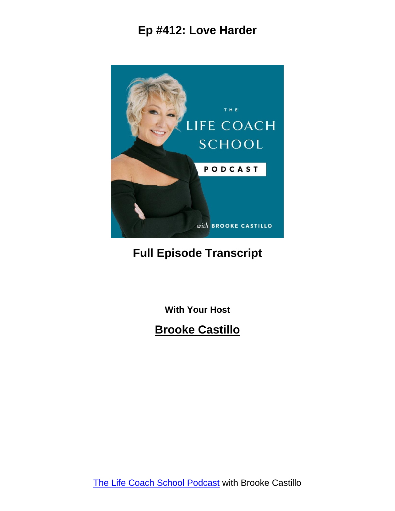

# **Full Episode Transcript**

**With Your Host**

#### **Brooke Castillo**

The Life Coach School [Podcast](http://www.thelifecoachschool.com/) with Brooke Castillo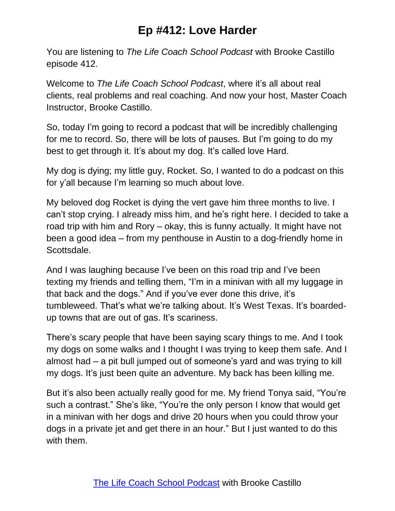You are listening to *The Life Coach School Podcast* with Brooke Castillo episode 412.

Welcome to *The Life Coach School Podcast*, where it's all about real clients, real problems and real coaching. And now your host, Master Coach Instructor, Brooke Castillo.

So, today I'm going to record a podcast that will be incredibly challenging for me to record. So, there will be lots of pauses. But I'm going to do my best to get through it. It's about my dog. It's called love Hard.

My dog is dying; my little guy, Rocket. So, I wanted to do a podcast on this for y'all because I'm learning so much about love.

My beloved dog Rocket is dying the vert gave him three months to live. I can't stop crying. I already miss him, and he's right here. I decided to take a road trip with him and Rory – okay, this is funny actually. It might have not been a good idea – from my penthouse in Austin to a dog-friendly home in Scottsdale.

And I was laughing because I've been on this road trip and I've been texting my friends and telling them, "I'm in a minivan with all my luggage in that back and the dogs." And if you've ever done this drive, it's tumbleweed. That's what we're talking about. It's West Texas. It's boardedup towns that are out of gas. It's scariness.

There's scary people that have been saying scary things to me. And I took my dogs on some walks and I thought I was trying to keep them safe. And I almost had – a pit bull jumped out of someone's yard and was trying to kill my dogs. It's just been quite an adventure. My back has been killing me.

But it's also been actually really good for me. My friend Tonya said, "You're such a contrast." She's like, "You're the only person I know that would get in a minivan with her dogs and drive 20 hours when you could throw your dogs in a private jet and get there in an hour." But I just wanted to do this with them.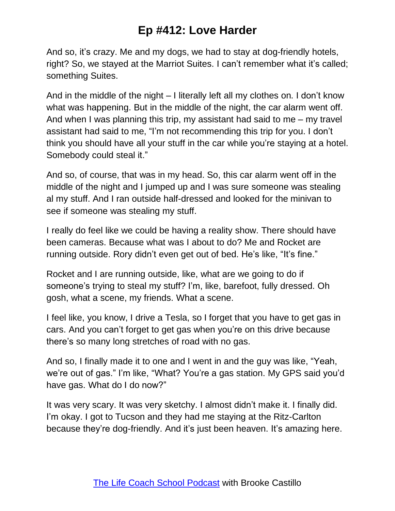And so, it's crazy. Me and my dogs, we had to stay at dog-friendly hotels, right? So, we stayed at the Marriot Suites. I can't remember what it's called; something Suites.

And in the middle of the night – I literally left all my clothes on. I don't know what was happening. But in the middle of the night, the car alarm went off. And when I was planning this trip, my assistant had said to me – my travel assistant had said to me, "I'm not recommending this trip for you. I don't think you should have all your stuff in the car while you're staying at a hotel. Somebody could steal it."

And so, of course, that was in my head. So, this car alarm went off in the middle of the night and I jumped up and I was sure someone was stealing al my stuff. And I ran outside half-dressed and looked for the minivan to see if someone was stealing my stuff.

I really do feel like we could be having a reality show. There should have been cameras. Because what was I about to do? Me and Rocket are running outside. Rory didn't even get out of bed. He's like, "It's fine."

Rocket and I are running outside, like, what are we going to do if someone's trying to steal my stuff? I'm, like, barefoot, fully dressed. Oh gosh, what a scene, my friends. What a scene.

I feel like, you know, I drive a Tesla, so I forget that you have to get gas in cars. And you can't forget to get gas when you're on this drive because there's so many long stretches of road with no gas.

And so, I finally made it to one and I went in and the guy was like, "Yeah, we're out of gas." I'm like, "What? You're a gas station. My GPS said you'd have gas. What do I do now?"

It was very scary. It was very sketchy. I almost didn't make it. I finally did. I'm okay. I got to Tucson and they had me staying at the Ritz-Carlton because they're dog-friendly. And it's just been heaven. It's amazing here.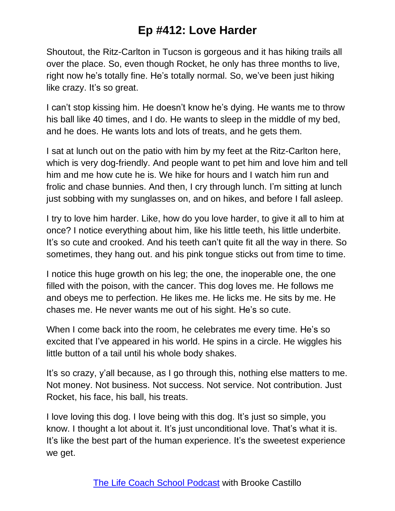Shoutout, the Ritz-Carlton in Tucson is gorgeous and it has hiking trails all over the place. So, even though Rocket, he only has three months to live, right now he's totally fine. He's totally normal. So, we've been just hiking like crazy. It's so great.

I can't stop kissing him. He doesn't know he's dying. He wants me to throw his ball like 40 times, and I do. He wants to sleep in the middle of my bed, and he does. He wants lots and lots of treats, and he gets them.

I sat at lunch out on the patio with him by my feet at the Ritz-Carlton here, which is very dog-friendly. And people want to pet him and love him and tell him and me how cute he is. We hike for hours and I watch him run and frolic and chase bunnies. And then, I cry through lunch. I'm sitting at lunch just sobbing with my sunglasses on, and on hikes, and before I fall asleep.

I try to love him harder. Like, how do you love harder, to give it all to him at once? I notice everything about him, like his little teeth, his little underbite. It's so cute and crooked. And his teeth can't quite fit all the way in there. So sometimes, they hang out. and his pink tongue sticks out from time to time.

I notice this huge growth on his leg; the one, the inoperable one, the one filled with the poison, with the cancer. This dog loves me. He follows me and obeys me to perfection. He likes me. He licks me. He sits by me. He chases me. He never wants me out of his sight. He's so cute.

When I come back into the room, he celebrates me every time. He's so excited that I've appeared in his world. He spins in a circle. He wiggles his little button of a tail until his whole body shakes.

It's so crazy, y'all because, as I go through this, nothing else matters to me. Not money. Not business. Not success. Not service. Not contribution. Just Rocket, his face, his ball, his treats.

I love loving this dog. I love being with this dog. It's just so simple, you know. I thought a lot about it. It's just unconditional love. That's what it is. It's like the best part of the human experience. It's the sweetest experience we get.